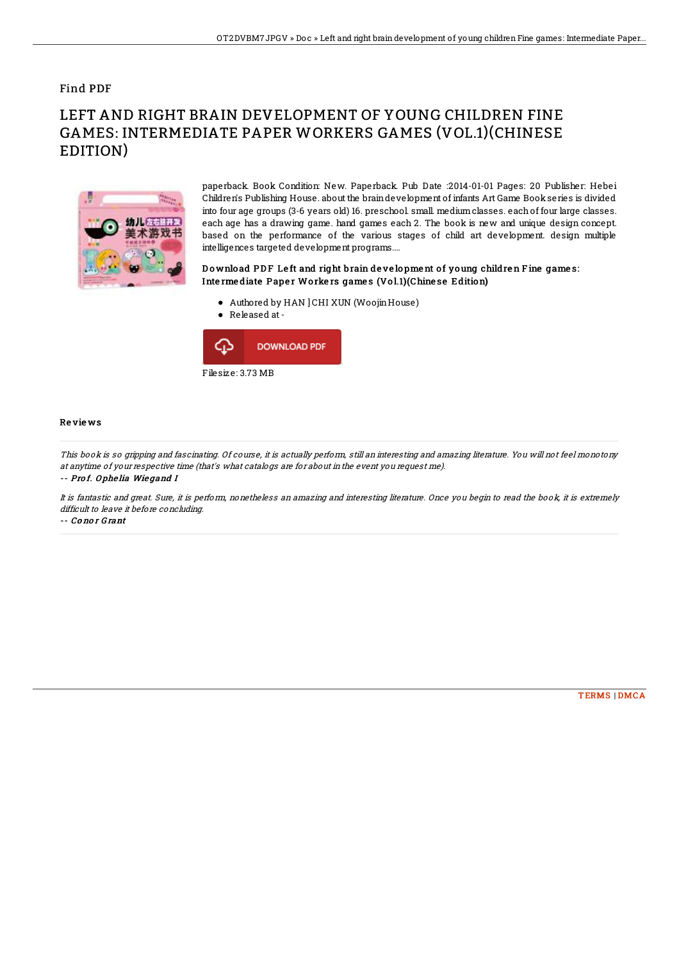### Find PDF

# LEFT AND RIGHT BRAIN DEVELOPMENT OF YOUNG CHILDREN FINE GAMES: INTERMEDIATE PAPER WORKERS GAMES (VOL.1)(CHINESE EDITION)



paperback. Book Condition: New. Paperback. Pub Date :2014-01-01 Pages: 20 Publisher: Hebei Children's Publishing House. about the braindevelopment of infants Art Game Book series is divided into four age groups (3-6 years old) 16. preschool. small. mediumclasses. each of four large classes. each age has a drawing game. hand games each 2. The book is new and unique design concept. based on the performance of the various stages of child art development. design multiple intelligences targeted development programs....

#### Download PDF Left and right brain development of young children Fine games: Intermediate Paper Workers games (Vol.1)(Chinese Edition)

- Authored by HAN ] CHI XUN (WoojinHouse)
- Released at-



#### Re vie ws

This book is so gripping and fascinating. Of course, it is actually perform, still an interesting and amazing literature. You will not feel monotony at anytime of your respective time (that's what catalogs are for about in the event you request me).

-- Pro f. O phe lia Wie gand I

It is fantastic and great. Sure, it is perform, nonetheless an amazing and interesting literature. Once you begin to read the book, it is extremely difficult to leave it before concluding.

-- Co no r G rant